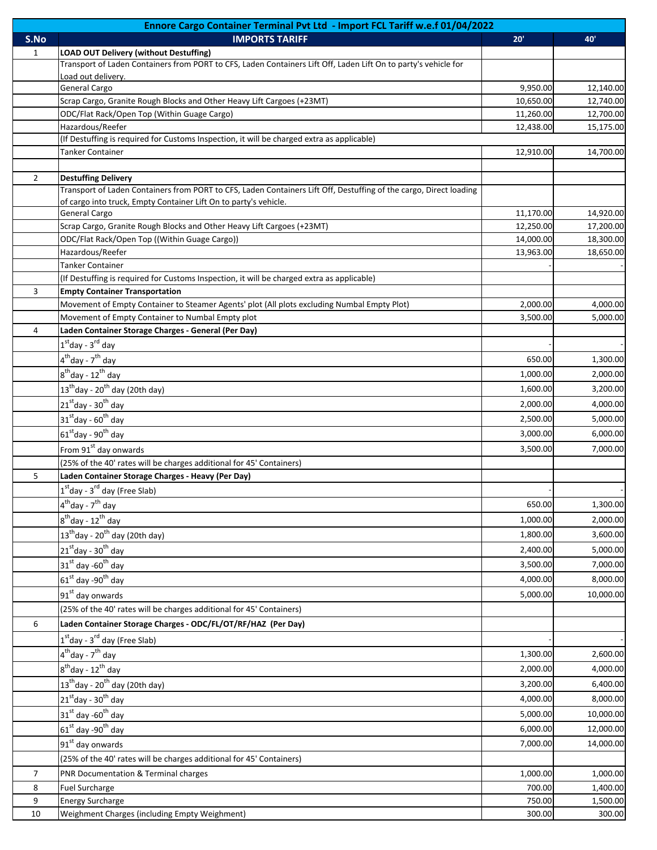| Ennore Cargo Container Terminal Pvt Ltd - Import FCL Tariff w.e.f 01/04/2022 |                                                                                                                    |                       |                        |  |  |
|------------------------------------------------------------------------------|--------------------------------------------------------------------------------------------------------------------|-----------------------|------------------------|--|--|
| S.No                                                                         | <b>IMPORTS TARIFF</b>                                                                                              | 20'                   | 40'                    |  |  |
| 1                                                                            | <b>LOAD OUT Delivery (without Destuffing)</b>                                                                      |                       |                        |  |  |
|                                                                              | Transport of Laden Containers from PORT to CFS, Laden Containers Lift Off, Laden Lift On to party's vehicle for    |                       |                        |  |  |
|                                                                              | Load out delivery.                                                                                                 |                       |                        |  |  |
|                                                                              | General Cargo<br>Scrap Cargo, Granite Rough Blocks and Other Heavy Lift Cargoes (+23MT)                            | 9,950.00<br>10,650.00 | 12,140.00<br>12,740.00 |  |  |
|                                                                              | ODC/Flat Rack/Open Top (Within Guage Cargo)                                                                        | 11,260.00             | 12,700.00              |  |  |
|                                                                              | Hazardous/Reefer                                                                                                   | 12,438.00             | 15,175.00              |  |  |
|                                                                              | (If Destuffing is required for Customs Inspection, it will be charged extra as applicable)                         |                       |                        |  |  |
|                                                                              | <b>Tanker Container</b>                                                                                            | 12,910.00             | 14,700.00              |  |  |
|                                                                              |                                                                                                                    |                       |                        |  |  |
| $\overline{2}$                                                               | <b>Destuffing Delivery</b>                                                                                         |                       |                        |  |  |
|                                                                              | Transport of Laden Containers from PORT to CFS, Laden Containers Lift Off, Destuffing of the cargo, Direct loading |                       |                        |  |  |
|                                                                              | of cargo into truck, Empty Container Lift On to party's vehicle.                                                   |                       |                        |  |  |
|                                                                              | General Cargo                                                                                                      | 11,170.00             | 14,920.00              |  |  |
|                                                                              | Scrap Cargo, Granite Rough Blocks and Other Heavy Lift Cargoes (+23MT)                                             | 12,250.00             | 17,200.00              |  |  |
|                                                                              | ODC/Flat Rack/Open Top ((Within Guage Cargo))                                                                      | 14,000.00             | 18,300.00              |  |  |
|                                                                              | Hazardous/Reefer                                                                                                   | 13,963.00             | 18,650.00              |  |  |
|                                                                              | <b>Tanker Container</b>                                                                                            |                       |                        |  |  |
|                                                                              | (If Destuffing is required for Customs Inspection, it will be charged extra as applicable)                         |                       |                        |  |  |
| 3                                                                            | <b>Empty Container Transportation</b>                                                                              |                       |                        |  |  |
|                                                                              | Movement of Empty Container to Steamer Agents' plot (All plots excluding Numbal Empty Plot)                        | 2,000.00              | 4,000.00               |  |  |
|                                                                              | Movement of Empty Container to Numbal Empty plot                                                                   | 3,500.00              | 5,000.00               |  |  |
| 4                                                                            | Laden Container Storage Charges - General (Per Day)                                                                |                       |                        |  |  |
|                                                                              | $1st$ day - $3rd$ day                                                                                              |                       |                        |  |  |
|                                                                              | 4 <sup>th</sup> day - 7 <sup>th</sup> day                                                                          | 650.00                | 1,300.00               |  |  |
|                                                                              | $8^{\text{th}}$ day - 12 $^{\text{th}}$ day                                                                        | 1,000.00              | 2,000.00               |  |  |
|                                                                              | $13^{\text{th}}$ day - 20 <sup>th</sup> day (20th day)                                                             | 1,600.00              | 3,200.00               |  |  |
|                                                                              | 21st day - 30 <sup>th</sup> day                                                                                    | 2,000.00              | 4,000.00               |  |  |
|                                                                              |                                                                                                                    |                       |                        |  |  |
|                                                                              | $31st$ day - 60 <sup>th</sup> day                                                                                  | 2,500.00              | 5,000.00               |  |  |
|                                                                              | $61st$ day - 90 <sup>th</sup> day                                                                                  | 3,000.00              | 6,000.00               |  |  |
|                                                                              | From 91 <sup>st</sup> day onwards                                                                                  | 3,500.00              | 7,000.00               |  |  |
|                                                                              | (25% of the 40' rates will be charges additional for 45' Containers)                                               |                       |                        |  |  |
| 5                                                                            | Laden Container Storage Charges - Heavy (Per Day)                                                                  |                       |                        |  |  |
|                                                                              | $1st$ day - 3 <sup>rd</sup> day (Free Slab)                                                                        |                       |                        |  |  |
|                                                                              | 4 <sup>th</sup> day - 7 <sup>th</sup> day                                                                          | 650.00                | 1,300.00               |  |  |
|                                                                              | $\overline{8^{th}}$ day - 12 <sup>th</sup> day                                                                     | 1,000.00              | 2,000.00               |  |  |
|                                                                              | $13^{\text{th}}$ day - 20 $^{\text{th}}$ day (20th day)                                                            | 1,800.00              | 3,600.00               |  |  |
|                                                                              | $21st$ day - 30 <sup>th</sup> day                                                                                  | 2,400.00              | 5,000.00               |  |  |
|                                                                              |                                                                                                                    |                       |                        |  |  |
|                                                                              | 31st day -60 <sup>th</sup> day                                                                                     | 3,500.00              | 7,000.00               |  |  |
|                                                                              | 61 <sup>st</sup> day -90 <sup>th</sup> day                                                                         | 4,000.00              | 8,000.00               |  |  |
|                                                                              | 91 <sup>st</sup> day onwards                                                                                       | 5,000.00              | 10,000.00              |  |  |
|                                                                              | (25% of the 40' rates will be charges additional for 45' Containers)                                               |                       |                        |  |  |
| 6                                                                            | Laden Container Storage Charges - ODC/FL/OT/RF/HAZ (Per Day)                                                       |                       |                        |  |  |
|                                                                              | 1 <sup>st</sup> day - 3 <sup>rd</sup> day (Free Slab)                                                              |                       |                        |  |  |
|                                                                              | 4 <sup>th</sup> day - 7 <sup>th</sup> day                                                                          | 1,300.00              | 2,600.00               |  |  |
|                                                                              | $8^{\text{th}}$ day - 12 $^{\text{th}}$ day                                                                        | 2,000.00              | 4,000.00               |  |  |
|                                                                              |                                                                                                                    |                       |                        |  |  |
|                                                                              | $13^{\text{th}}$ day - 20 <sup>th</sup> day (20th day)                                                             | 3,200.00              | 6,400.00               |  |  |
|                                                                              | $21^{\text{st}}$ day - 30 <sup>th</sup> day                                                                        | 4,000.00              | 8,000.00               |  |  |
|                                                                              | 31st day -60 <sup>th</sup> day                                                                                     | 5,000.00              | 10,000.00              |  |  |
|                                                                              | $61st$ day -90 <sup>th</sup> day                                                                                   | 6,000.00              | 12,000.00              |  |  |
|                                                                              | 91 <sup>st</sup> day onwards                                                                                       | 7,000.00              | 14,000.00              |  |  |
|                                                                              | (25% of the 40' rates will be charges additional for 45' Containers)                                               |                       |                        |  |  |
| $\overline{7}$                                                               | PNR Documentation & Terminal charges                                                                               | 1,000.00              | 1,000.00               |  |  |
| 8                                                                            | <b>Fuel Surcharge</b>                                                                                              | 700.00                | 1,400.00               |  |  |
| 9                                                                            | <b>Energy Surcharge</b>                                                                                            | 750.00                | 1,500.00               |  |  |
| 10                                                                           | Weighment Charges (including Empty Weighment)                                                                      | 300.00                | 300.00                 |  |  |
|                                                                              |                                                                                                                    |                       |                        |  |  |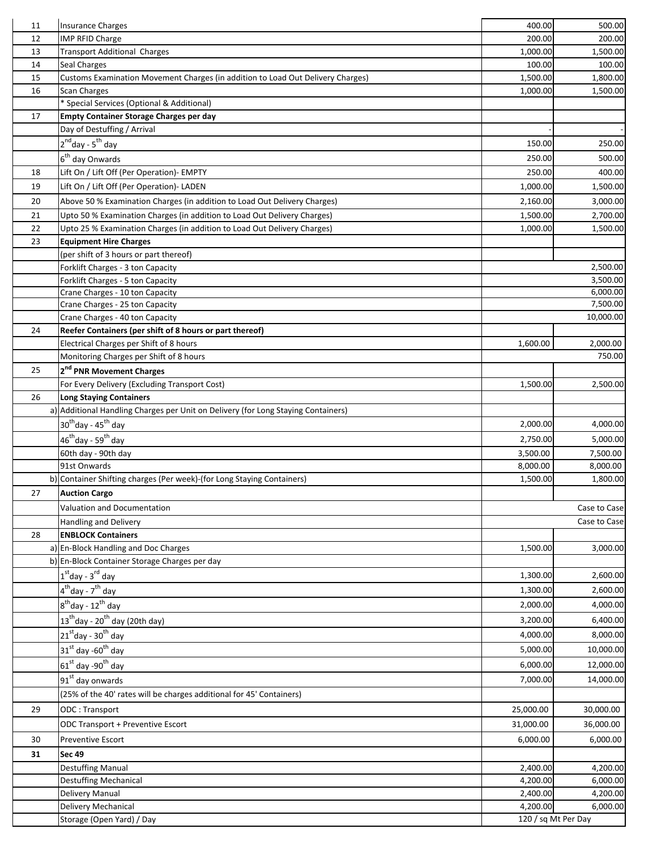| 11 | <b>Insurance Charges</b>                                                          | 400.00              | 500.00       |
|----|-----------------------------------------------------------------------------------|---------------------|--------------|
| 12 | IMP RFID Charge                                                                   | 200.00              | 200.00       |
| 13 | <b>Transport Additional Charges</b>                                               | 1,000.00            | 1,500.00     |
| 14 | Seal Charges                                                                      | 100.00              | 100.00       |
| 15 | Customs Examination Movement Charges (in addition to Load Out Delivery Charges)   | 1,500.00            | 1,800.00     |
| 16 | Scan Charges                                                                      | 1,000.00            | 1,500.00     |
|    | * Special Services (Optional & Additional)                                        |                     |              |
| 17 | <b>Empty Container Storage Charges per day</b>                                    |                     |              |
|    | Day of Destuffing / Arrival                                                       |                     |              |
|    | 2 <sup>nd</sup> day - 5 <sup>th</sup> day                                         | 150.00              | 250.00       |
|    | 6 <sup>th</sup> day Onwards                                                       | 250.00              | 500.00       |
| 18 | Lift On / Lift Off (Per Operation)- EMPTY                                         | 250.00              | 400.00       |
| 19 | Lift On / Lift Off (Per Operation)- LADEN                                         | 1,000.00            | 1,500.00     |
| 20 | Above 50 % Examination Charges (in addition to Load Out Delivery Charges)         | 2,160.00            | 3,000.00     |
| 21 | Upto 50 % Examination Charges (in addition to Load Out Delivery Charges)          | 1,500.00            | 2,700.00     |
| 22 | Upto 25 % Examination Charges (in addition to Load Out Delivery Charges)          | 1,000.00            | 1,500.00     |
| 23 | <b>Equipment Hire Charges</b>                                                     |                     |              |
|    | (per shift of 3 hours or part thereof)                                            |                     |              |
|    | Forklift Charges - 3 ton Capacity                                                 |                     | 2,500.00     |
|    | Forklift Charges - 5 ton Capacity                                                 |                     | 3,500.00     |
|    | Crane Charges - 10 ton Capacity                                                   |                     | 6,000.00     |
|    | Crane Charges - 25 ton Capacity                                                   |                     | 7,500.00     |
|    | Crane Charges - 40 ton Capacity                                                   |                     | 10,000.00    |
| 24 | Reefer Containers (per shift of 8 hours or part thereof)                          |                     |              |
|    | Electrical Charges per Shift of 8 hours                                           | 1,600.00            | 2,000.00     |
|    | Monitoring Charges per Shift of 8 hours                                           |                     | 750.00       |
| 25 | 2 <sup>nd</sup> PNR Movement Charges                                              |                     |              |
|    | For Every Delivery (Excluding Transport Cost)                                     | 1,500.00            | 2,500.00     |
| 26 | <b>Long Staying Containers</b>                                                    |                     |              |
|    | a) Additional Handling Charges per Unit on Delivery (for Long Staying Containers) |                     |              |
|    | 30 <sup>th</sup> day - 45 <sup>th</sup> day                                       | 2,000.00            | 4,000.00     |
|    | 46 <sup>th</sup> day - 59 <sup>th</sup> day                                       | 2,750.00            | 5,000.00     |
|    | 60th day - 90th day                                                               | 3,500.00            | 7,500.00     |
|    | 91st Onwards                                                                      | 8,000.00            | 8,000.00     |
|    | b) Container Shifting charges (Per week)-(for Long Staying Containers)            | 1,500.00            | 1,800.00     |
| 27 | <b>Auction Cargo</b>                                                              |                     |              |
|    | Valuation and Documentation                                                       |                     | Case to Case |
|    | Handling and Delivery                                                             |                     | Case to Case |
| 28 | <b>ENBLOCK Containers</b>                                                         |                     |              |
|    | a) En-Block Handling and Doc Charges                                              | 1,500.00            | 3,000.00     |
|    | b) En-Block Container Storage Charges per day                                     |                     |              |
|    | $1st$ day - $3rd$ day                                                             | 1,300.00            | 2,600.00     |
|    | $4thday - 7thday$                                                                 | 1,300.00            | 2,600.00     |
|    | 8 <sup>th</sup> day - 12 <sup>th</sup> day                                        | 2,000.00            | 4,000.00     |
|    | $13^{\text{th}}$ day - 20 <sup>th</sup> day (20th day)                            | 3,200.00            | 6,400.00     |
|    | $21st$ day - 30 <sup>th</sup> day                                                 | 4,000.00            | 8,000.00     |
|    | $31st$ day -60 <sup>th</sup> day                                                  | 5,000.00            | 10,000.00    |
|    |                                                                                   |                     |              |
|    | $61st$ day -90 <sup>th</sup> day                                                  | 6,000.00            | 12,000.00    |
|    | 91 <sup>st</sup> day onwards                                                      | 7,000.00            | 14,000.00    |
|    | (25% of the 40' rates will be charges additional for 45' Containers)              |                     |              |
| 29 | ODC: Transport                                                                    | 25,000.00           | 30,000.00    |
|    | ODC Transport + Preventive Escort                                                 | 31,000.00           | 36,000.00    |
| 30 | <b>Preventive Escort</b>                                                          | 6,000.00            | 6,000.00     |
| 31 | <b>Sec 49</b>                                                                     |                     |              |
|    | <b>Destuffing Manual</b>                                                          | 2,400.00            | 4,200.00     |
|    | <b>Destuffing Mechanical</b>                                                      | 4,200.00            | 6,000.00     |
|    | Delivery Manual                                                                   | 2,400.00            | 4,200.00     |
|    | Delivery Mechanical                                                               | 4,200.00            | 6,000.00     |
|    | Storage (Open Yard) / Day                                                         | 120 / sq Mt Per Day |              |